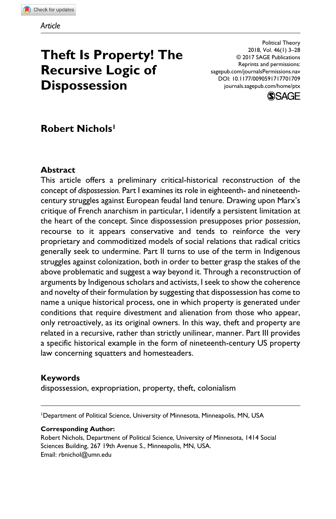**701[709](http://crossmark.crossref.org/dialog/?doi=10.1177%2F0090591717701709&domain=pdf&date_stamp=2017-04-02)** PTXXXX10.1177/0090591717701709Political Theory**Nichols**

# **Theft Is Property! The Recursive Logic of Dispossession**

DOI: 10.1177/0090591717701709 Political Theory 2018, Vol. 46(1) 3–28 © 2017 SAGE Publications Reprints and permissions: [sagepub.com/journalsPermissions.nav](https://us.sagepub.com/en-us/journals-permissions) [journals.sagepub.com/home/ptx](https://journals.sagepub.com/home/ptx)



# **Robert Nichols1**

## **Abstract**

This article offers a preliminary critical-historical reconstruction of the concept of *dispossession.* Part I examines its role in eighteenth- and nineteenthcentury struggles against European feudal land tenure. Drawing upon Marx's critique of French anarchism in particular, I identify a persistent limitation at the heart of the concept. Since dispossession presupposes prior *possession*, recourse to it appears conservative and tends to reinforce the very proprietary and commoditized models of social relations that radical critics generally seek to undermine. Part II turns to use of the term in Indigenous struggles against colonization, both in order to better grasp the stakes of the above problematic and suggest a way beyond it. Through a reconstruction of arguments by Indigenous scholars and activists, I seek to show the coherence and novelty of their formulation by suggesting that dispossession has come to name a unique historical process, one in which property is generated under conditions that require divestment and alienation from those who appear, only retroactively, as its original owners. In this way, theft and property are related in a recursive, rather than strictly unilinear, manner. Part III provides a specific historical example in the form of nineteenth-century US property law concerning squatters and homesteaders.

### **Keywords**

dispossession, expropriation, property, theft, colonialism

1Department of Political Science, University of Minnesota, Minneapolis, MN, USA

#### **Corresponding Author:**

Robert Nichols, Department of Political Science, University of Minnesota, 1414 Social Sciences Building, 267 19th Avenue S., Minneapolis, MN, USA. Email: [rbnichol@umn.edu](mailto:rbnichol@umn.edu)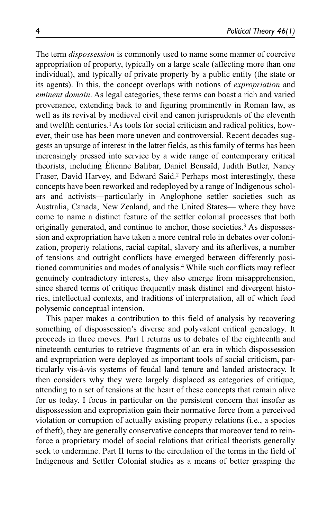The term *dispossession* is commonly used to name some manner of coercive appropriation of property, typically on a large scale (affecting more than one individual), and typically of private property by a public entity (the state or its agents). In this, the concept overlaps with notions of *expropriation* and *eminent domain*. As legal categories, these terms can boast a rich and varied provenance, extending back to and figuring prominently in Roman law, as well as its revival by medieval civil and canon jurisprudents of the eleventh and twelfth centuries.<sup>1</sup> As tools for social criticism and radical politics, however, their use has been more uneven and controversial. Recent decades suggests an upsurge of interest in the latter fields, as this family of terms has been increasingly pressed into service by a wide range of contemporary critical theorists, including Étienne Balibar, Daniel Bensaïd, Judith Butler, Nancy Fraser, David Harvey, and Edward Said.2 Perhaps most interestingly, these concepts have been reworked and redeployed by a range of Indigenous scholars and activists—particularly in Anglophone settler societies such as Australia, Canada, New Zealand, and the United States— where they have come to name a distinct feature of the settler colonial processes that both originally generated, and continue to anchor, those societies.3 As dispossession and expropriation have taken a more central role in debates over colonization, property relations, racial capital, slavery and its afterlives, a number of tensions and outright conflicts have emerged between differently positioned communities and modes of analysis.4 While such conflicts may reflect genuinely contradictory interests, they also emerge from misapprehension, since shared terms of critique frequently mask distinct and divergent histories, intellectual contexts, and traditions of interpretation, all of which feed polysemic conceptual intension.

This paper makes a contribution to this field of analysis by recovering something of dispossession's diverse and polyvalent critical genealogy. It proceeds in three moves. Part I returns us to debates of the eighteenth and nineteenth centuries to retrieve fragments of an era in which dispossession and expropriation were deployed as important tools of social criticism, particularly vis-à-vis systems of feudal land tenure and landed aristocracy. It then considers why they were largely displaced as categories of critique, attending to a set of tensions at the heart of these concepts that remain alive for us today. I focus in particular on the persistent concern that insofar as dispossession and expropriation gain their normative force from a perceived violation or corruption of actually existing property relations (i.e., a species of theft), they are generally conservative concepts that moreover tend to reinforce a proprietary model of social relations that critical theorists generally seek to undermine. Part II turns to the circulation of the terms in the field of Indigenous and Settler Colonial studies as a means of better grasping the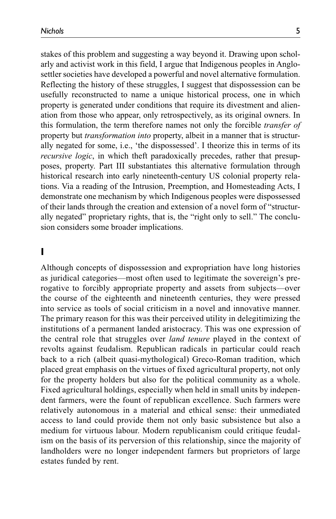stakes of this problem and suggesting a way beyond it. Drawing upon scholarly and activist work in this field, I argue that Indigenous peoples in Anglosettler societies have developed a powerful and novel alternative formulation. Reflecting the history of these struggles, I suggest that dispossession can be usefully reconstructed to name a unique historical process, one in which property is generated under conditions that require its divestment and alienation from those who appear, only retrospectively, as its original owners. In this formulation, the term therefore names not only the forcible *transfer of* property but *transformation into* property, albeit in a manner that is structurally negated for some, i.e., 'the dispossessed'. I theorize this in terms of its *recursive logic*, in which theft paradoxically precedes, rather that presupposes, property. Part III substantiates this alternative formulation through historical research into early nineteenth-century US colonial property relations. Via a reading of the Intrusion, Preemption, and Homesteading Acts, I demonstrate one mechanism by which Indigenous peoples were dispossessed of their lands through the creation and extension of a novel form of "structurally negated" proprietary rights, that is, the "right only to sell." The conclusion considers some broader implications.

# **I**

Although concepts of dispossession and expropriation have long histories as juridical categories—most often used to legitimate the sovereign's prerogative to forcibly appropriate property and assets from subjects—over the course of the eighteenth and nineteenth centuries, they were pressed into service as tools of social criticism in a novel and innovative manner. The primary reason for this was their perceived utility in delegitimizing the institutions of a permanent landed aristocracy. This was one expression of the central role that struggles over *land tenure* played in the context of revolts against feudalism. Republican radicals in particular could reach back to a rich (albeit quasi-mythological) Greco-Roman tradition, which placed great emphasis on the virtues of fixed agricultural property, not only for the property holders but also for the political community as a whole. Fixed agricultural holdings, especially when held in small units by independent farmers, were the fount of republican excellence. Such farmers were relatively autonomous in a material and ethical sense: their unmediated access to land could provide them not only basic subsistence but also a medium for virtuous labour. Modern republicanism could critique feudalism on the basis of its perversion of this relationship, since the majority of landholders were no longer independent farmers but proprietors of large estates funded by rent.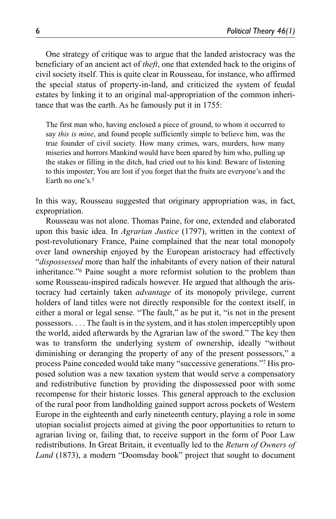One strategy of critique was to argue that the landed aristocracy was the beneficiary of an ancient act of *theft*, one that extended back to the origins of civil society itself. This is quite clear in Rousseau, for instance, who affirmed the special status of property-in-land, and criticized the system of feudal estates by linking it to an original mal-appropriation of the common inheritance that was the earth. As he famously put it in 1755:

The first man who, having enclosed a piece of ground, to whom it occurred to say *this is mine*, and found people sufficiently simple to believe him, was the true founder of civil society. How many crimes, wars, murders, how many miseries and horrors Mankind would have been spared by him who, pulling up the stakes or filling in the ditch, had cried out to his kind: Beware of listening to this imposter; You are lost if you forget that the fruits are everyone's and the Earth no one's.<sup>5</sup>

In this way, Rousseau suggested that originary appropriation was, in fact, expropriation.

Rousseau was not alone. Thomas Paine, for one, extended and elaborated upon this basic idea. In *Agrarian Justice* (1797), written in the context of post-revolutionary France, Paine complained that the near total monopoly over land ownership enjoyed by the European aristocracy had effectively "*dispossessed* more than half the inhabitants of every nation of their natural inheritance."6 Paine sought a more reformist solution to the problem than some Rousseau-inspired radicals however. He argued that although the aristocracy had certainly taken *advantage* of its monopoly privilege, current holders of land titles were not directly responsible for the context itself, in either a moral or legal sense. "The fault," as he put it, "is not in the present possessors. . . . The fault is in the system, and it has stolen imperceptibly upon the world, aided afterwards by the Agrarian law of the sword." The key then was to transform the underlying system of ownership, ideally "without diminishing or deranging the property of any of the present possessors," a process Paine conceded would take many "successive generations."7 His proposed solution was a new taxation system that would serve a compensatory and redistributive function by providing the dispossessed poor with some recompense for their historic losses. This general approach to the exclusion of the rural poor from landholding gained support across pockets of Western Europe in the eighteenth and early nineteenth century, playing a role in some utopian socialist projects aimed at giving the poor opportunities to return to agrarian living or, failing that, to receive support in the form of Poor Law redistributions. In Great Britain, it eventually led to the *Return of Owners of Land* (1873), a modern "Doomsday book" project that sought to document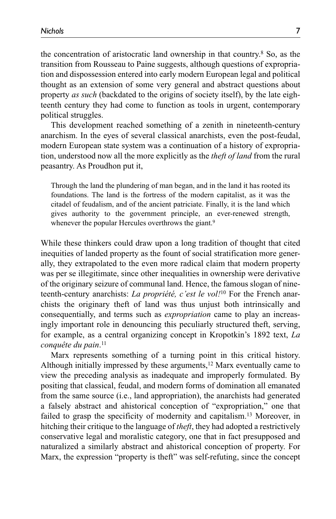the concentration of aristocratic land ownership in that country.8 So, as the transition from Rousseau to Paine suggests, although questions of expropriation and dispossession entered into early modern European legal and political thought as an extension of some very general and abstract questions about property *as such* (backdated to the origins of society itself), by the late eighteenth century they had come to function as tools in urgent, contemporary political struggles.

This development reached something of a zenith in nineteenth-century anarchism. In the eyes of several classical anarchists, even the post-feudal, modern European state system was a continuation of a history of expropriation, understood now all the more explicitly as the *theft of land* from the rural peasantry. As Proudhon put it,

Through the land the plundering of man began, and in the land it has rooted its foundations. The land is the fortress of the modern capitalist, as it was the citadel of feudalism, and of the ancient patriciate. Finally, it is the land which gives authority to the government principle, an ever-renewed strength, whenever the popular Hercules overthrows the giant.<sup>9</sup>

While these thinkers could draw upon a long tradition of thought that cited inequities of landed property as the fount of social stratification more generally, they extrapolated to the even more radical claim that modern property was per se illegitimate, since other inequalities in ownership were derivative of the originary seizure of communal land. Hence, the famous slogan of nineteenth-century anarchists: *La propriété, c'est le vol!*10 For the French anarchists the originary theft of land was thus unjust both intrinsically and consequentially, and terms such as *expropriation* came to play an increasingly important role in denouncing this peculiarly structured theft, serving, for example, as a central organizing concept in Kropotkin's 1892 text, *La conquête du pain*. 11

Marx represents something of a turning point in this critical history. Although initially impressed by these arguments,<sup>12</sup> Marx eventually came to view the preceding analysis as inadequate and improperly formulated. By positing that classical, feudal, and modern forms of domination all emanated from the same source (i.e., land appropriation), the anarchists had generated a falsely abstract and ahistorical conception of "expropriation," one that failed to grasp the specificity of modernity and capitalism.13 Moreover, in hitching their critique to the language of *theft*, they had adopted a restrictively conservative legal and moralistic category, one that in fact presupposed and naturalized a similarly abstract and ahistorical conception of property. For Marx, the expression "property is theft" was self-refuting, since the concept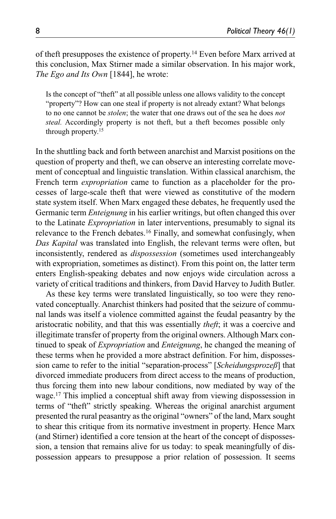of theft presupposes the existence of property.14 Even before Marx arrived at this conclusion, Max Stirner made a similar observation. In his major work, *The Ego and Its Own* [1844], he wrote:

Is the concept of "theft" at all possible unless one allows validity to the concept "property"? How can one steal if property is not already extant? What belongs to no one cannot be *stolen*; the water that one draws out of the sea he does *not steal.* Accordingly property is not theft, but a theft becomes possible only through property.15

In the shuttling back and forth between anarchist and Marxist positions on the question of property and theft, we can observe an interesting correlate movement of conceptual and linguistic translation. Within classical anarchism, the French term *expropriation* came to function as a placeholder for the processes of large-scale theft that were viewed as constitutive of the modern state system itself. When Marx engaged these debates, he frequently used the Germanic term *Enteignung* in his earlier writings, but often changed this over to the Latinate *Expropriation* in later interventions, presumably to signal its relevance to the French debates.<sup>16</sup> Finally, and somewhat confusingly, when *Das Kapital* was translated into English, the relevant terms were often, but inconsistently, rendered as *dispossession* (sometimes used interchangeably with expropriation, sometimes as distinct). From this point on, the latter term enters English-speaking debates and now enjoys wide circulation across a variety of critical traditions and thinkers, from David Harvey to Judith Butler.

As these key terms were translated linguistically, so too were they renovated conceptually. Anarchist thinkers had posited that the seizure of communal lands was itself a violence committed against the feudal peasantry by the aristocratic nobility, and that this was essentially *theft*; it was a coercive and illegitimate transfer of property from the original owners. Although Marx continued to speak of *Expropriation* and *Enteignung*, he changed the meaning of these terms when he provided a more abstract definition. For him, dispossession came to refer to the initial "separation-process" [*Scheidungsprozeß*] that divorced immediate producers from direct access to the means of production, thus forcing them into new labour conditions, now mediated by way of the wage.17 This implied a conceptual shift away from viewing dispossession in terms of "theft" strictly speaking. Whereas the original anarchist argument presented the rural peasantry as the original "owners" of the land, Marx sought to shear this critique from its normative investment in property. Hence Marx (and Stirner) identified a core tension at the heart of the concept of dispossession, a tension that remains alive for us today: to speak meaningfully of dispossession appears to presuppose a prior relation of possession. It seems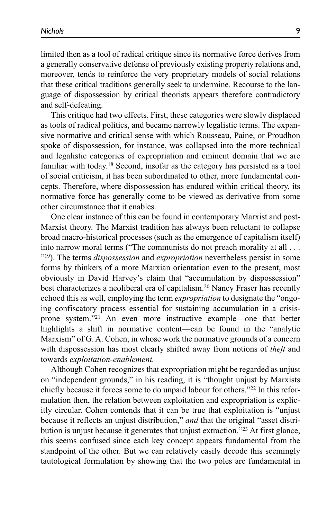limited then as a tool of radical critique since its normative force derives from a generally conservative defense of previously existing property relations and, moreover, tends to reinforce the very proprietary models of social relations that these critical traditions generally seek to undermine. Recourse to the language of dispossession by critical theorists appears therefore contradictory and self-defeating.

This critique had two effects. First, these categories were slowly displaced as tools of radical politics, and became narrowly legalistic terms. The expansive normative and critical sense with which Rousseau, Paine, or Proudhon spoke of dispossession, for instance, was collapsed into the more technical and legalistic categories of expropriation and eminent domain that we are familiar with today.18 Second, insofar as the category has persisted as a tool of social criticism, it has been subordinated to other, more fundamental concepts. Therefore, where dispossession has endured within critical theory, its normative force has generally come to be viewed as derivative from some other circumstance that it enables.

One clear instance of this can be found in contemporary Marxist and post-Marxist theory. The Marxist tradition has always been reluctant to collapse broad macro-historical processes (such as the emergence of capitalism itself) into narrow moral terms ("The communists do not preach morality at all . . . "19). The terms *dispossession* and *expropriation* nevertheless persist in some forms by thinkers of a more Marxian orientation even to the present, most obviously in David Harvey's claim that "accumulation by dispossession" best characterizes a neoliberal era of capitalism.20 Nancy Fraser has recently echoed this as well, employing the term *expropriation* to designate the "ongoing confiscatory process essential for sustaining accumulation in a crisisprone system."21 An even more instructive example—one that better highlights a shift in normative content—can be found in the "analytic Marxism" of G. A. Cohen, in whose work the normative grounds of a concern with dispossession has most clearly shifted away from notions of *theft* and towards *exploitation-enablement.*

Although Cohen recognizes that expropriation might be regarded as unjust on "independent grounds," in his reading, it is "thought unjust by Marxists chiefly because it forces some to do unpaid labour for others."22 In this reformulation then, the relation between exploitation and expropriation is explicitly circular. Cohen contends that it can be true that exploitation is "unjust because it reflects an unjust distribution," *and* that the original "asset distribution is unjust because it generates that unjust extraction."23 At first glance, this seems confused since each key concept appears fundamental from the standpoint of the other. But we can relatively easily decode this seemingly tautological formulation by showing that the two poles are fundamental in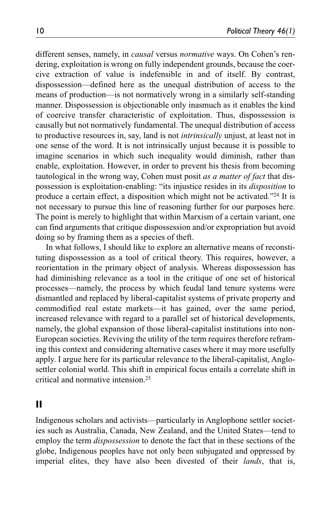different senses, namely, in *causal* versus *normative* ways. On Cohen's rendering, exploitation is wrong on fully independent grounds, because the coercive extraction of value is indefensible in and of itself. By contrast, dispossession—defined here as the unequal distribution of access to the means of production—is not normatively wrong in a similarly self-standing manner. Dispossession is objectionable only inasmuch as it enables the kind of coercive transfer characteristic of exploitation. Thus, dispossession is causally but not normatively fundamental. The unequal distribution of access to productive resources in, say, land is not *intrinsically* unjust, at least not in one sense of the word. It is not intrinsically unjust because it is possible to imagine scenarios in which such inequality would diminish, rather than enable, exploitation. However, in order to prevent his thesis from becoming tautological in the wrong way, Cohen must posit *as a matter of fact* that dispossession is exploitation-enabling: "its injustice resides in its *disposition* to produce a certain effect, a disposition which might not be activated."24 It is not necessary to pursue this line of reasoning further for our purposes here. The point is merely to highlight that within Marxism of a certain variant, one can find arguments that critique dispossession and/or expropriation but avoid doing so by framing them as a species of theft.

In what follows, I should like to explore an alternative means of reconstituting dispossession as a tool of critical theory. This requires, however, a reorientation in the primary object of analysis. Whereas dispossession has had diminishing relevance as a tool in the critique of one set of historical processes—namely, the process by which feudal land tenure systems were dismantled and replaced by liberal-capitalist systems of private property and commodified real estate markets—it has gained, over the same period, increased relevance with regard to a parallel set of historical developments, namely, the global expansion of those liberal-capitalist institutions into non-European societies. Reviving the utility of the term requires therefore reframing this context and considering alternative cases where it may more usefully apply. I argue here for its particular relevance to the liberal-capitalist, Anglosettler colonial world. This shift in empirical focus entails a correlate shift in critical and normative intension.25

### **II**

Indigenous scholars and activists—particularly in Anglophone settler societies such as Australia, Canada, New Zealand, and the United States—tend to employ the term *dispossession* to denote the fact that in these sections of the globe, Indigenous peoples have not only been subjugated and oppressed by imperial elites, they have also been divested of their *lands*, that is,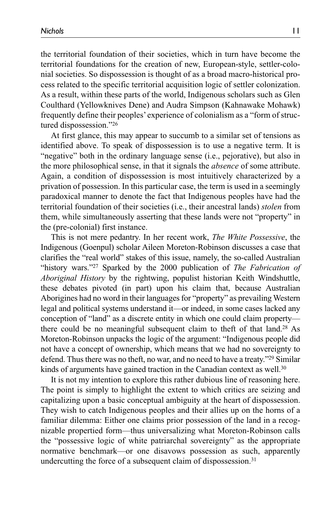the territorial foundation of their societies, which in turn have become the territorial foundations for the creation of new, European-style, settler-colonial societies. So dispossession is thought of as a broad macro-historical process related to the specific territorial acquisition logic of settler colonization. As a result, within these parts of the world, Indigenous scholars such as Glen Coulthard (Yellowknives Dene) and Audra Simpson (Kahnawake Mohawk) frequently define their peoples' experience of colonialism as a "form of structured dispossession."26

At first glance, this may appear to succumb to a similar set of tensions as identified above. To speak of dispossession is to use a negative term. It is "negative" both in the ordinary language sense (i.e., pejorative), but also in the more philosophical sense, in that it signals the *absence* of some attribute. Again, a condition of dispossession is most intuitively characterized by a privation of possession. In this particular case, the term is used in a seemingly paradoxical manner to denote the fact that Indigenous peoples have had the territorial foundation of their societies (i.e., their ancestral lands) *stolen* from them, while simultaneously asserting that these lands were not "property" in the (pre-colonial) first instance.

This is not mere pedantry. In her recent work, *The White Possessive*, the Indigenous (Goenpul) scholar Aileen Moreton-Robinson discusses a case that clarifies the "real world" stakes of this issue, namely, the so-called Australian "history wars."27 Sparked by the 2000 publication of *The Fabrication of Aboriginal History* by the rightwing, populist historian Keith Windshuttle, these debates pivoted (in part) upon his claim that, because Australian Aborigines had no word in their languages for "property" as prevailing Western legal and political systems understand it—or indeed, in some cases lacked any conception of "land" as a discrete entity in which one could claim property there could be no meaningful subsequent claim to theft of that land.28 As Moreton-Robinson unpacks the logic of the argument: "Indigenous people did not have a concept of ownership, which means that we had no sovereignty to defend. Thus there was no theft, no war, and no need to have a treaty."29 Similar kinds of arguments have gained traction in the Canadian context as well.<sup>30</sup>

It is not my intention to explore this rather dubious line of reasoning here. The point is simply to highlight the extent to which critics are seizing and capitalizing upon a basic conceptual ambiguity at the heart of dispossession. They wish to catch Indigenous peoples and their allies up on the horns of a familiar dilemma: Either one claims prior possession of the land in a recognizable propertied form—thus universalizing what Moreton-Robinson calls the "possessive logic of white patriarchal sovereignty" as the appropriate normative benchmark—or one disavows possession as such, apparently undercutting the force of a subsequent claim of dispossession.<sup>31</sup>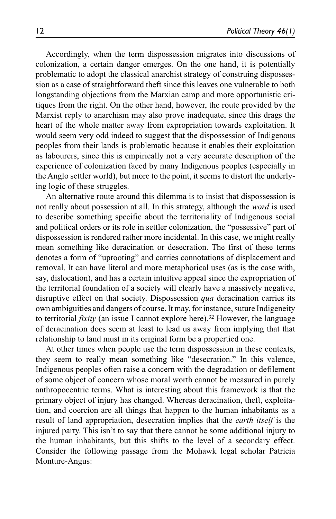Accordingly, when the term dispossession migrates into discussions of colonization, a certain danger emerges. On the one hand, it is potentially problematic to adopt the classical anarchist strategy of construing dispossession as a case of straightforward theft since this leaves one vulnerable to both longstanding objections from the Marxian camp and more opportunistic critiques from the right. On the other hand, however, the route provided by the Marxist reply to anarchism may also prove inadequate, since this drags the heart of the whole matter away from expropriation towards exploitation. It would seem very odd indeed to suggest that the dispossession of Indigenous peoples from their lands is problematic because it enables their exploitation as labourers, since this is empirically not a very accurate description of the experience of colonization faced by many Indigenous peoples (especially in the Anglo settler world), but more to the point, it seems to distort the underlying logic of these struggles.

An alternative route around this dilemma is to insist that dispossession is not really about possession at all. In this strategy, although the *word* is used to describe something specific about the territoriality of Indigenous social and political orders or its role in settler colonization, the "possessive" part of dispossession is rendered rather more incidental. In this case, we might really mean something like deracination or desecration. The first of these terms denotes a form of "uprooting" and carries connotations of displacement and removal. It can have literal and more metaphorical uses (as is the case with, say, dislocation), and has a certain intuitive appeal since the expropriation of the territorial foundation of a society will clearly have a massively negative, disruptive effect on that society. Dispossession *qua* deracination carries its own ambiguities and dangers of course. It may, for instance, suture Indigeneity to territorial *fixity* (an issue I cannot explore here).<sup>32</sup> However, the language of deracination does seem at least to lead us away from implying that that relationship to land must in its original form be a propertied one.

At other times when people use the term dispossession in these contexts, they seem to really mean something like "desecration." In this valence, Indigenous peoples often raise a concern with the degradation or defilement of some object of concern whose moral worth cannot be measured in purely anthropocentric terms. What is interesting about this framework is that the primary object of injury has changed. Whereas deracination, theft, exploitation, and coercion are all things that happen to the human inhabitants as a result of land appropriation, desecration implies that the *earth itself* is the injured party. This isn't to say that there cannot be some additional injury to the human inhabitants, but this shifts to the level of a secondary effect. Consider the following passage from the Mohawk legal scholar Patricia Monture-Angus: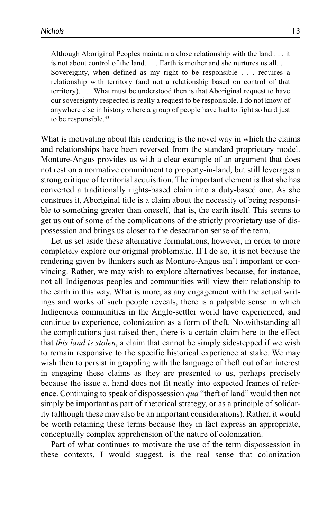Although Aboriginal Peoples maintain a close relationship with the land . . . it is not about control of the land. . . . Earth is mother and she nurtures us all. . . . Sovereignty, when defined as my right to be responsible . . . requires a relationship with territory (and not a relationship based on control of that territory). . . . What must be understood then is that Aboriginal request to have our sovereignty respected is really a request to be responsible. I do not know of anywhere else in history where a group of people have had to fight so hard just to be responsible.<sup>33</sup>

What is motivating about this rendering is the novel way in which the claims and relationships have been reversed from the standard proprietary model. Monture-Angus provides us with a clear example of an argument that does not rest on a normative commitment to property-in-land, but still leverages a strong critique of territorial acquisition. The important element is that she has converted a traditionally rights-based claim into a duty-based one. As she construes it, Aboriginal title is a claim about the necessity of being responsible to something greater than oneself, that is, the earth itself. This seems to get us out of some of the complications of the strictly proprietary use of dispossession and brings us closer to the desecration sense of the term.

Let us set aside these alternative formulations, however, in order to more completely explore our original problematic. If I do so, it is not because the rendering given by thinkers such as Monture-Angus isn't important or convincing. Rather, we may wish to explore alternatives because, for instance, not all Indigenous peoples and communities will view their relationship to the earth in this way. What is more, as any engagement with the actual writings and works of such people reveals, there is a palpable sense in which Indigenous communities in the Anglo-settler world have experienced, and continue to experience, colonization as a form of theft. Notwithstanding all the complications just raised then, there is a certain claim here to the effect that *this land is stolen*, a claim that cannot be simply sidestepped if we wish to remain responsive to the specific historical experience at stake. We may wish then to persist in grappling with the language of theft out of an interest in engaging these claims as they are presented to us, perhaps precisely because the issue at hand does not fit neatly into expected frames of reference. Continuing to speak of dispossession *qua* "theft of land" would then not simply be important as part of rhetorical strategy, or as a principle of solidarity (although these may also be an important considerations). Rather, it would be worth retaining these terms because they in fact express an appropriate, conceptually complex apprehension of the nature of colonization.

Part of what continues to motivate the use of the term dispossession in these contexts, I would suggest, is the real sense that colonization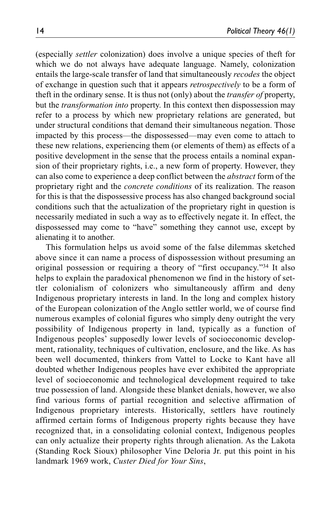(especially *settler* colonization) does involve a unique species of theft for which we do not always have adequate language. Namely, colonization entails the large-scale transfer of land that simultaneously *recodes* the object of exchange in question such that it appears *retrospectively* to be a form of theft in the ordinary sense. It is thus not (only) about the *transfer of* property, but the *transformation into* property. In this context then dispossession may refer to a process by which new proprietary relations are generated, but under structural conditions that demand their simultaneous negation. Those impacted by this process—the dispossessed—may even come to attach to these new relations, experiencing them (or elements of them) as effects of a positive development in the sense that the process entails a nominal expansion of their proprietary rights, i.e., a new form of property. However, they can also come to experience a deep conflict between the *abstract* form of the proprietary right and the *concrete conditions* of its realization. The reason for this is that the dispossessive process has also changed background social conditions such that the actualization of the proprietary right in question is necessarily mediated in such a way as to effectively negate it. In effect, the dispossessed may come to "have" something they cannot use, except by alienating it to another.

This formulation helps us avoid some of the false dilemmas sketched above since it can name a process of dispossession without presuming an original possession or requiring a theory of "first occupancy."34 It also helps to explain the paradoxical phenomenon we find in the history of settler colonialism of colonizers who simultaneously affirm and deny Indigenous proprietary interests in land. In the long and complex history of the European colonization of the Anglo settler world, we of course find numerous examples of colonial figures who simply deny outright the very possibility of Indigenous property in land, typically as a function of Indigenous peoples' supposedly lower levels of socioeconomic development, rationality, techniques of cultivation, enclosure, and the like. As has been well documented, thinkers from Vattel to Locke to Kant have all doubted whether Indigenous peoples have ever exhibited the appropriate level of socioeconomic and technological development required to take true possession of land. Alongside these blanket denials, however, we also find various forms of partial recognition and selective affirmation of Indigenous proprietary interests. Historically, settlers have routinely affirmed certain forms of Indigenous property rights because they have recognized that, in a consolidating colonial context, Indigenous peoples can only actualize their property rights through alienation. As the Lakota (Standing Rock Sioux) philosopher Vine Deloria Jr. put this point in his landmark 1969 work, *Custer Died for Your Sins*,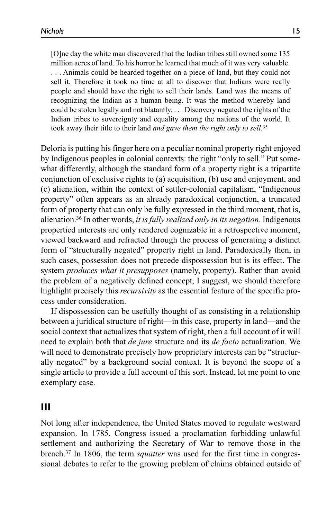[O]ne day the white man discovered that the Indian tribes still owned some 135 million acres of land. To his horror he learned that much of it was very valuable. . . . Animals could be hearded together on a piece of land, but they could not sell it. Therefore it took no time at all to discover that Indians were really people and should have the right to sell their lands. Land was the means of recognizing the Indian as a human being. It was the method whereby land could be stolen legally and not blatantly. . . . Discovery negated the rights of the Indian tribes to sovereignty and equality among the nations of the world. It took away their title to their land *and gave them the right only to sell*. 35

Deloria is putting his finger here on a peculiar nominal property right enjoyed by Indigenous peoples in colonial contexts: the right "only to sell." Put somewhat differently, although the standard form of a property right is a tripartite conjunction of exclusive rights to (a) acquisition, (b) use and enjoyment, and (c) alienation, within the context of settler-colonial capitalism, "Indigenous property" often appears as an already paradoxical conjunction, a truncated form of property that can only be fully expressed in the third moment, that is, alienation.36 In other words, *it is fully realized only in its negation*. Indigenous propertied interests are only rendered cognizable in a retrospective moment, viewed backward and refracted through the process of generating a distinct form of "structurally negated" property right in land. Paradoxically then, in such cases, possession does not precede dispossession but is its effect. The system *produces what it presupposes* (namely, property). Rather than avoid the problem of a negatively defined concept, I suggest, we should therefore highlight precisely this *recursivity* as the essential feature of the specific process under consideration.

If dispossession can be usefully thought of as consisting in a relationship between a juridical structure of right—in this case, property in land—and the social context that actualizes that system of right, then a full account of it will need to explain both that *de jure* structure and its *de facto* actualization. We will need to demonstrate precisely how proprietary interests can be "structurally negated" by a background social context. It is beyond the scope of a single article to provide a full account of this sort. Instead, let me point to one exemplary case.

### **III**

Not long after independence, the United States moved to regulate westward expansion. In 1785, Congress issued a proclamation forbidding unlawful settlement and authorizing the Secretary of War to remove those in the breach.37 In 1806, the term *squatter* was used for the first time in congressional debates to refer to the growing problem of claims obtained outside of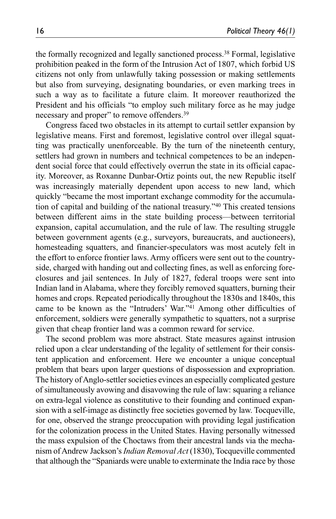the formally recognized and legally sanctioned process.38 Formal, legislative prohibition peaked in the form of the Intrusion Act of 1807, which forbid US citizens not only from unlawfully taking possession or making settlements but also from surveying, designating boundaries, or even marking trees in such a way as to facilitate a future claim. It moreover reauthorized the President and his officials "to employ such military force as he may judge necessary and proper" to remove offenders.39

Congress faced two obstacles in its attempt to curtail settler expansion by legislative means. First and foremost, legislative control over illegal squatting was practically unenforceable. By the turn of the nineteenth century, settlers had grown in numbers and technical competences to be an independent social force that could effectively overrun the state in its official capacity. Moreover, as Roxanne Dunbar-Ortiz points out, the new Republic itself was increasingly materially dependent upon access to new land, which quickly "became the most important exchange commodity for the accumulation of capital and building of the national treasury."40 This created tensions between different aims in the state building process—between territorial expansion, capital accumulation, and the rule of law. The resulting struggle between government agents (e.g., surveyors, bureaucrats, and auctioneers), homesteading squatters, and financier-speculators was most acutely felt in the effort to enforce frontier laws. Army officers were sent out to the countryside, charged with handing out and collecting fines, as well as enforcing foreclosures and jail sentences. In July of 1827, federal troops were sent into Indian land in Alabama, where they forcibly removed squatters, burning their homes and crops. Repeated periodically throughout the 1830s and 1840s, this came to be known as the "Intruders' War."41 Among other difficulties of enforcement, soldiers were generally sympathetic to squatters, not a surprise given that cheap frontier land was a common reward for service.

The second problem was more abstract. State measures against intrusion relied upon a clear understanding of the legality of settlement for their consistent application and enforcement. Here we encounter a unique conceptual problem that bears upon larger questions of dispossession and expropriation. The history of Anglo-settler societies evinces an especially complicated gesture of simultaneously avowing and disavowing the rule of law: squaring a reliance on extra-legal violence as constitutive to their founding and continued expansion with a self-image as distinctly free societies governed by law. Tocqueville, for one, observed the strange preoccupation with providing legal justification for the colonization process in the United States. Having personally witnessed the mass expulsion of the Choctaws from their ancestral lands via the mechanism of Andrew Jackson's *Indian Removal Act* (1830), Tocqueville commented that although the "Spaniards were unable to exterminate the India race by those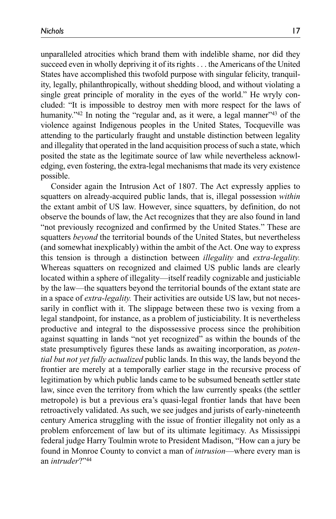unparalleled atrocities which brand them with indelible shame, nor did they succeed even in wholly depriving it of its rights . . . the Americans of the United States have accomplished this twofold purpose with singular felicity, tranquility, legally, philanthropically, without shedding blood, and without violating a single great principle of morality in the eyes of the world." He wryly concluded: "It is impossible to destroy men with more respect for the laws of humanity."<sup>42</sup> In noting the "regular and, as it were, a legal manner"<sup>43</sup> of the violence against Indigenous peoples in the United States, Tocqueville was attending to the particularly fraught and unstable distinction between legality and illegality that operated in the land acquisition process of such a state, which posited the state as the legitimate source of law while nevertheless acknowledging, even fostering, the extra-legal mechanisms that made its very existence possible.

Consider again the Intrusion Act of 1807. The Act expressly applies to squatters on already-acquired public lands, that is, illegal possession *within* the extant ambit of US law. However, since squatters, by definition, do not observe the bounds of law, the Act recognizes that they are also found in land "not previously recognized and confirmed by the United States." These are squatters *beyond* the territorial bounds of the United States, but nevertheless (and somewhat inexplicably) within the ambit of the Act. One way to express this tension is through a distinction between *illegality* and *extra-legality.* Whereas squatters on recognized and claimed US public lands are clearly located within a sphere of illegality—itself readily cognizable and justiciable by the law—the squatters beyond the territorial bounds of the extant state are in a space of *extra-legality.* Their activities are outside US law, but not necessarily in conflict with it. The slippage between these two is vexing from a legal standpoint, for instance, as a problem of justiciability. It is nevertheless productive and integral to the dispossessive process since the prohibition against squatting in lands "not yet recognized" as within the bounds of the state presumptively figures these lands as awaiting incorporation, as *potential but not yet fully actualized* public lands. In this way, the lands beyond the frontier are merely at a temporally earlier stage in the recursive process of legitimation by which public lands came to be subsumed beneath settler state law, since even the territory from which the law currently speaks (the settler metropole) is but a previous era's quasi-legal frontier lands that have been retroactively validated. As such, we see judges and jurists of early-nineteenth century America struggling with the issue of frontier illegality not only as a problem enforcement of law but of its ultimate legitimacy. As Mississippi federal judge Harry Toulmin wrote to President Madison, "How can a jury be found in Monroe County to convict a man of *intrusion*—where every man is an *intruder*?"44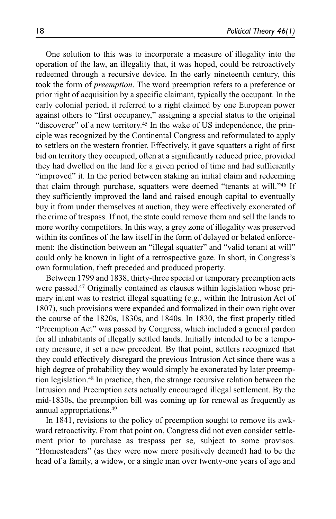One solution to this was to incorporate a measure of illegality into the operation of the law, an illegality that, it was hoped, could be retroactively redeemed through a recursive device. In the early nineteenth century, this took the form of *preemption*. The word preemption refers to a preference or prior right of acquisition by a specific claimant, typically the occupant. In the early colonial period, it referred to a right claimed by one European power against others to "first occupancy," assigning a special status to the original "discoverer" of a new territory.<sup>45</sup> In the wake of US independence, the principle was recognized by the Continental Congress and reformulated to apply to settlers on the western frontier. Effectively, it gave squatters a right of first bid on territory they occupied, often at a significantly reduced price, provided they had dwelled on the land for a given period of time and had sufficiently "improved" it. In the period between staking an initial claim and redeeming that claim through purchase, squatters were deemed "tenants at will."46 If they sufficiently improved the land and raised enough capital to eventually buy it from under themselves at auction, they were effectively exonerated of the crime of trespass. If not, the state could remove them and sell the lands to more worthy competitors. In this way, a grey zone of illegality was preserved within its confines of the law itself in the form of delayed or belated enforcement: the distinction between an "illegal squatter" and "valid tenant at will" could only be known in light of a retrospective gaze. In short, in Congress's own formulation, theft preceded and produced property.

Between 1799 and 1838, thirty-three special or temporary preemption acts were passed.47 Originally contained as clauses within legislation whose primary intent was to restrict illegal squatting (e.g., within the Intrusion Act of 1807), such provisions were expanded and formalized in their own right over the course of the 1820s, 1830s, and 1840s. In 1830, the first properly titled "Preemption Act" was passed by Congress, which included a general pardon for all inhabitants of illegally settled lands. Initially intended to be a temporary measure, it set a new precedent. By that point, settlers recognized that they could effectively disregard the previous Intrusion Act since there was a high degree of probability they would simply be exonerated by later preemption legislation.48 In practice, then, the strange recursive relation between the Intrusion and Preemption acts actually encouraged illegal settlement. By the mid-1830s, the preemption bill was coming up for renewal as frequently as annual appropriations.49

In 1841, revisions to the policy of preemption sought to remove its awkward retroactivity. From that point on, Congress did not even consider settlement prior to purchase as trespass per se, subject to some provisos. "Homesteaders" (as they were now more positively deemed) had to be the head of a family, a widow, or a single man over twenty-one years of age and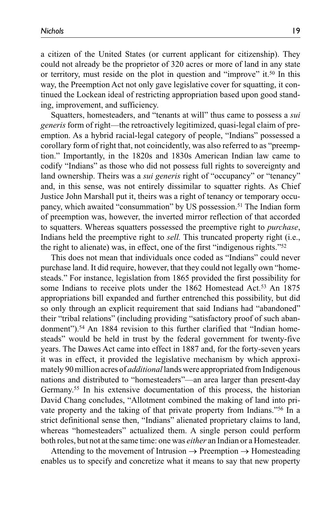a citizen of the United States (or current applicant for citizenship). They could not already be the proprietor of 320 acres or more of land in any state or territory, must reside on the plot in question and "improve" it.<sup>50</sup> In this way, the Preemption Act not only gave legislative cover for squatting, it continued the Lockean ideal of restricting appropriation based upon good standing, improvement, and sufficiency.

Squatters, homesteaders, and "tenants at will" thus came to possess a *sui generis* form of right—the retroactively legitimized, quasi-legal claim of preemption. As a hybrid racial-legal category of people, "Indians" possessed a corollary form of right that, not coincidently, was also referred to as "preemption." Importantly, in the 1820s and 1830s American Indian law came to codify "Indians" as those who did not possess full rights to sovereignty and land ownership. Theirs was a *sui generis* right of "occupancy" or "tenancy" and, in this sense, was not entirely dissimilar to squatter rights. As Chief Justice John Marshall put it, theirs was a right of tenancy or temporary occupancy, which awaited "consummation" by US possession.<sup>51</sup> The Indian form of preemption was, however, the inverted mirror reflection of that accorded to squatters. Whereas squatters possessed the preemptive right to *purchase*, Indians held the preemptive right to *sell.* This truncated property right (i.e., the right to alienate) was, in effect, one of the first "indigenous rights."52

This does not mean that individuals once coded as "Indians" could never purchase land. It did require, however, that they could not legally own "homesteads." For instance, legislation from 1865 provided the first possibility for some Indians to receive plots under the 1862 Homestead Act.<sup>53</sup> An 1875 appropriations bill expanded and further entrenched this possibility, but did so only through an explicit requirement that said Indians had "abandoned" their "tribal relations" (including providing "satisfactory proof of such abandonment").54 An 1884 revision to this further clarified that "Indian homesteads" would be held in trust by the federal government for twenty-five years. The Dawes Act came into effect in 1887 and, for the forty-seven years it was in effect, it provided the legislative mechanism by which approximately 90 million acres of *additional* lands were appropriated from Indigenous nations and distributed to "homesteaders"—an area larger than present-day Germany.55 In his extensive documentation of this process, the historian David Chang concludes, "Allotment combined the making of land into private property and the taking of that private property from Indians."56 In a strict definitional sense then, "Indians" alienated proprietary claims to land, whereas "homesteaders" actualized them. A single person could perform both roles, but not at the same time: one was *either* an Indian or a Homesteader.

Attending to the movement of Intrusion  $\rightarrow$  Preemption  $\rightarrow$  Homesteading enables us to specify and concretize what it means to say that new property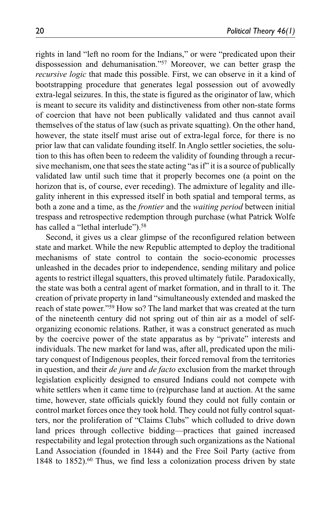rights in land "left no room for the Indians," or were "predicated upon their dispossession and dehumanisation."57 Moreover, we can better grasp the *recursive logic* that made this possible. First, we can observe in it a kind of bootstrapping procedure that generates legal possession out of avowedly extra-legal seizures. In this, the state is figured as the originator of law, which is meant to secure its validity and distinctiveness from other non-state forms of coercion that have not been publically validated and thus cannot avail themselves of the status of law (such as private squatting). On the other hand, however, the state itself must arise out of extra-legal force, for there is no prior law that can validate founding itself. In Anglo settler societies, the solution to this has often been to redeem the validity of founding through a recursive mechanism, one that sees the state acting "as if" it is a source of publically validated law until such time that it properly becomes one (a point on the horizon that is, of course, ever receding). The admixture of legality and illegality inherent in this expressed itself in both spatial and temporal terms, as both a zone and a time, as the *frontier* and the *waiting period* between initial trespass and retrospective redemption through purchase (what Patrick Wolfe has called a "lethal interlude").<sup>58</sup>

Second, it gives us a clear glimpse of the reconfigured relation between state and market. While the new Republic attempted to deploy the traditional mechanisms of state control to contain the socio-economic processes unleashed in the decades prior to independence, sending military and police agents to restrict illegal squatters, this proved ultimately futile. Paradoxically, the state was both a central agent of market formation, and in thrall to it. The creation of private property in land "simultaneously extended and masked the reach of state power."59 How so? The land market that was created at the turn of the nineteenth century did not spring out of thin air as a model of selforganizing economic relations. Rather, it was a construct generated as much by the coercive power of the state apparatus as by "private" interests and individuals. The new market for land was, after all, predicated upon the military conquest of Indigenous peoples, their forced removal from the territories in question, and their *de jure* and *de facto* exclusion from the market through legislation explicitly designed to ensured Indians could not compete with white settlers when it came time to (re)purchase land at auction. At the same time, however, state officials quickly found they could not fully contain or control market forces once they took hold. They could not fully control squatters, nor the proliferation of "Claims Clubs" which colluded to drive down land prices through collective bidding—practices that gained increased respectability and legal protection through such organizations as the National Land Association (founded in 1844) and the Free Soil Party (active from 1848 to 1852).<sup>60</sup> Thus, we find less a colonization process driven by state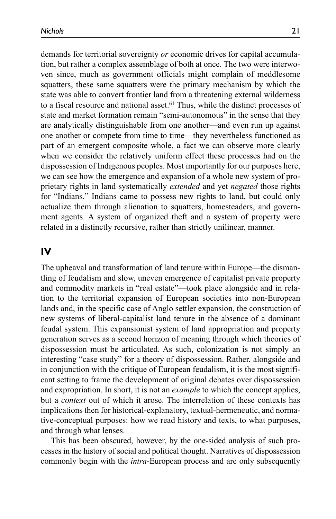demands for territorial sovereignty *or* economic drives for capital accumulation, but rather a complex assemblage of both at once. The two were interwoven since, much as government officials might complain of meddlesome squatters, these same squatters were the primary mechanism by which the state was able to convert frontier land from a threatening external wilderness to a fiscal resource and national asset.<sup>61</sup> Thus, while the distinct processes of state and market formation remain "semi-autonomous" in the sense that they are analytically distinguishable from one another—and even run up against one another or compete from time to time—they nevertheless functioned as part of an emergent composite whole, a fact we can observe more clearly when we consider the relatively uniform effect these processes had on the dispossession of Indigenous peoples. Most importantly for our purposes here, we can see how the emergence and expansion of a whole new system of proprietary rights in land systematically *extended* and yet *negated* those rights for "Indians." Indians came to possess new rights to land, but could only actualize them through alienation to squatters, homesteaders, and government agents. A system of organized theft and a system of property were related in a distinctly recursive, rather than strictly unilinear, manner.

# **IV**

The upheaval and transformation of land tenure within Europe—the dismantling of feudalism and slow, uneven emergence of capitalist private property and commodity markets in "real estate"—took place alongside and in relation to the territorial expansion of European societies into non-European lands and, in the specific case of Anglo settler expansion, the construction of new systems of liberal-capitalist land tenure in the absence of a dominant feudal system. This expansionist system of land appropriation and property generation serves as a second horizon of meaning through which theories of dispossession must be articulated. As such, colonization is not simply an interesting "case study" for a theory of dispossession. Rather, alongside and in conjunction with the critique of European feudalism, it is the most significant setting to frame the development of original debates over dispossession and expropriation. In short, it is not an *example* to which the concept applies, but a *context* out of which it arose. The interrelation of these contexts has implications then for historical-explanatory, textual-hermeneutic, and normative-conceptual purposes: how we read history and texts, to what purposes, and through what lenses.

This has been obscured, however, by the one-sided analysis of such processes in the history of social and political thought. Narratives of dispossession commonly begin with the *intra*-European process and are only subsequently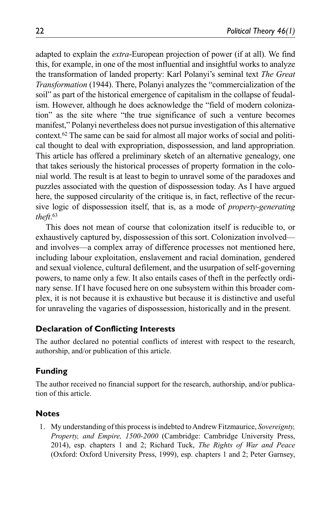adapted to explain the *extra*-European projection of power (if at all). We find this, for example, in one of the most influential and insightful works to analyze the transformation of landed property: Karl Polanyi's seminal text *The Great Transformation* (1944). There, Polanyi analyzes the "commercialization of the soil" as part of the historical emergence of capitalism in the collapse of feudalism. However, although he does acknowledge the "field of modern colonization" as the site where "the true significance of such a venture becomes manifest," Polanyi nevertheless does not pursue investigation of this alternative context.62 The same can be said for almost all major works of social and political thought to deal with expropriation, dispossession, and land appropriation. This article has offered a preliminary sketch of an alternative genealogy, one that takes seriously the historical processes of property formation in the colonial world. The result is at least to begin to unravel some of the paradoxes and puzzles associated with the question of dispossession today. As I have argued here, the supposed circularity of the critique is, in fact, reflective of the recursive logic of dispossession itself, that is, as a mode of *property-generating theft*. 63

This does not mean of course that colonization itself is reducible to, or exhaustively captured by, dispossession of this sort. Colonization involved and involves—a complex array of difference processes not mentioned here, including labour exploitation, enslavement and racial domination, gendered and sexual violence, cultural defilement, and the usurpation of self-governing powers, to name only a few. It also entails cases of theft in the perfectly ordinary sense. If I have focused here on one subsystem within this broader complex, it is not because it is exhaustive but because it is distinctive and useful for unraveling the vagaries of dispossession, historically and in the present.

#### **Declaration of Conflicting Interests**

The author declared no potential conflicts of interest with respect to the research, authorship, and/or publication of this article.

#### **Funding**

The author received no financial support for the research, authorship, and/or publication of this article.

#### **Notes**

1. My understanding of this process is indebted to Andrew Fitzmaurice, *Sovereignty, Property, and Empire, 1500-2000* (Cambridge: Cambridge University Press, 2014), esp. chapters 1 and 2; Richard Tuck, *The Rights of War and Peace* (Oxford: Oxford University Press, 1999), esp. chapters 1 and 2; Peter Garnsey,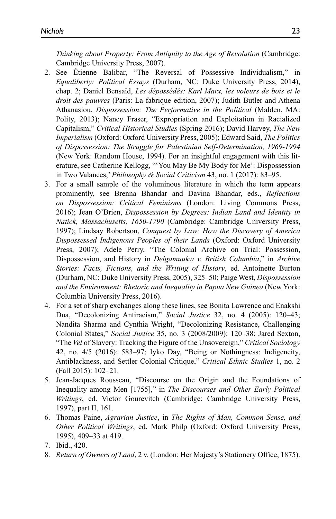*Thinking about Property: From Antiquity to the Age of Revolution* (Cambridge: Cambridge University Press, 2007).

- 2. See Étienne Balibar, "The Reversal of Possessive Individualism," in *Equaliberty: Political Essays* (Durham, NC: Duke University Press, 2014), chap. 2; Daniel Bensaïd, *Les dépossédés: Karl Marx, les voleurs de bois et le droit des pauvres* (Paris: La fabrique edition, 2007); Judith Butler and Athena Athanasiou, *Dispossession: The Performative in the Political* (Malden, MA: Polity, 2013); Nancy Fraser, "Expropriation and Exploitation in Racialized Capitalism," *Critical Historical Studies* (Spring 2016); David Harvey, *The New Imperialism* (Oxford: Oxford University Press, 2005); Edward Said, *The Politics of Dispossession: The Struggle for Palestinian Self-Determination, 1969-1994* (New York: Random House, 1994). For an insightful engagement with this literature, see Catherine Kellogg, "'You May Be My Body for Me': Dispossession in Two Valances,' *Philosophy & Social Criticism* 43, no. 1 (2017): 83–95.
- 3. For a small sample of the voluminous literature in which the term appears prominently, see Brenna Bhandar and Davina Bhandar, eds., *Reflections on Dispossession: Critical Feminisms* (London: Living Commons Press, 2016); Jean O'Brien, *Dispossession by Degrees: Indian Land and Identity in Natick, Massachusetts, 1650-1790* (Cambridge: Cambridge University Press, 1997); Lindsay Robertson, *Conquest by Law: How the Discovery of America Dispossessed Indigenous Peoples of their Lands* (Oxford: Oxford University Press, 2007); Adele Perry, "The Colonial Archive on Trial: Possession, Dispossession, and History in *Delgamuukw v. British Columbia*," in *Archive Stories: Facts, Fictions, and the Writing of History*, ed. Antoinette Burton (Durham, NC: Duke University Press, 2005), 325–50; Paige West, *Dispossession and the Environment: Rhetoric and Inequality in Papua New Guinea* (New York: Columbia University Press, 2016).
- 4. For a set of sharp exchanges along these lines, see Bonita Lawrence and Enakshi Dua, "Decolonizing Antiracism," *Social Justice* 32, no. 4 (2005): 120–43; Nandita Sharma and Cynthia Wright, "Decolonizing Resistance, Challenging Colonial States," *Social Justice* 35, no. 3 (2008/2009): 120–38; Jared Sexton, "The *Vel* of Slavery: Tracking the Figure of the Unsovereign," *Critical Sociology* 42, no. 4/5 (2016): 583–97; Iyko Day, "Being or Nothingness: Indigeneity, Antiblackness, and Settler Colonial Critique," *Critical Ethnic Studies* 1, no. 2 (Fall 2015): 102–21.
- 5. Jean-Jacques Rousseau, "Discourse on the Origin and the Foundations of Inequality among Men [1755]," in *The Discourses and Other Early Political Writings*, ed. Victor Gourevitch (Cambridge: Cambridge University Press, 1997), part II, 161.
- 6. Thomas Paine, *Agrarian Justice*, in *The Rights of Man, Common Sense, and Other Political Writings*, ed. Mark Philp (Oxford: Oxford University Press, 1995), 409–33 at 419.

8. *Return of Owners of Land*, 2 v. (London: Her Majesty's Stationery Office, 1875).

<sup>7.</sup> Ibid., 420.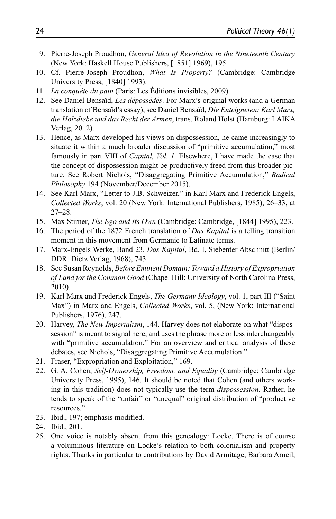- 9. Pierre-Joseph Proudhon, *General Idea of Revolution in the Nineteenth Century* (New York: Haskell House Publishers, [1851] 1969), 195.
- 10. Cf. Pierre-Joseph Proudhon, *What Is Property?* (Cambridge: Cambridge University Press, [1840] 1993).
- 11. *La conquête du pain* (Paris: Les Éditions invisibles, 2009).
- 12. See Daniel Bensaïd, *Les dépossédés*. For Marx's original works (and a German translation of Bensaïd's essay), see Daniel Bensaïd, *Die Enteigneten: Karl Marx, die Holzdiebe und das Recht der Armen*, trans. Roland Holst (Hamburg: LAIKA Verlag, 2012).
- 13. Hence, as Marx developed his views on dispossession, he came increasingly to situate it within a much broader discussion of "primitive accumulation," most famously in part VIII of *Capital, Vol. 1.* Elsewhere, I have made the case that the concept of dispossession might be productively freed from this broader picture. See Robert Nichols, "Disaggregating Primitive Accumulation," *Radical Philosophy* 194 (November/December 2015).
- 14. See Karl Marx, "Letter to J.B. Schweizer," in Karl Marx and Frederick Engels, *Collected Works*, vol. 20 (New York: International Publishers, 1985), 26–33, at 27–28.
- 15. Max Stirner, *The Ego and Its Own* (Cambridge: Cambridge, [1844] 1995), 223.
- 16. The period of the 1872 French translation of *Das Kapital* is a telling transition moment in this movement from Germanic to Latinate terms.
- 17. Marx-Engels Werke, Band 23, *Das Kapital*, Bd. I, Siebenter Abschnitt (Berlin/ DDR: Dietz Verlag, 1968), 743.
- 18. See Susan Reynolds, *Before Eminent Domain: Toward a History of Expropriation of Land for the Common Good* (Chapel Hill: University of North Carolina Press, 2010).
- 19. Karl Marx and Frederick Engels, *The Germany Ideology*, vol. 1, part III ("Saint Max") in Marx and Engels, *Collected Works*, vol. 5, (New York: International Publishers, 1976), 247.
- 20. Harvey, *The New Imperialism*, 144. Harvey does not elaborate on what "dispossession" is meant to signal here, and uses the phrase more or less interchangeably with "primitive accumulation." For an overview and critical analysis of these debates, see Nichols, "Disaggregating Primitive Accumulation."
- 21. Fraser, "Expropriation and Exploitation," 169.
- 22. G. A. Cohen, *Self-Ownership, Freedom, and Equality* (Cambridge: Cambridge University Press, 1995), 146. It should be noted that Cohen (and others working in this tradition) does not typically use the term *dispossession*. Rather, he tends to speak of the "unfair" or "unequal" original distribution of "productive resources."
- 23. Ibid., 197; emphasis modified.
- 24. Ibid., 201.
- 25. One voice is notably absent from this genealogy: Locke. There is of course a voluminous literature on Locke's relation to both colonialism and property rights. Thanks in particular to contributions by David Armitage, Barbara Arneil,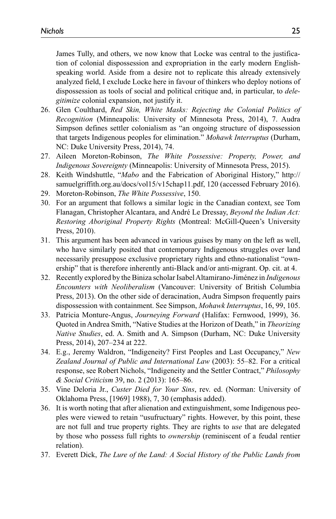James Tully, and others, we now know that Locke was central to the justification of colonial dispossession and expropriation in the early modern Englishspeaking world. Aside from a desire not to replicate this already extensively analyzed field, I exclude Locke here in favour of thinkers who deploy notions of dispossession as tools of social and political critique and, in particular, to *delegitimize* colonial expansion, not justify it.

- 26. Glen Coulthard, *Red Skin, White Masks: Rejecting the Colonial Politics of Recognition* (Minneapolis: University of Minnesota Press, 2014), 7. Audra Simpson defines settler colonialism as "an ongoing structure of dispossession that targets Indigenous peoples for elimination." *Mohawk Interruptus* (Durham, NC: Duke University Press, 2014), 74.
- 27. Aileen Moreton-Robinson, *The White Possessive: Property, Power, and Indigenous Sovereignty* (Minneapolis: University of Minnesota Press, 2015).
- 28. Keith Windshuttle, "*Mabo* and the Fabrication of Aboriginal History," [http://](http://samuelgriffith.org.au/docs/vol15/v15chap11.pdf) [samuelgriffith.org.au/docs/vol15/v15chap11.pdf,](http://samuelgriffith.org.au/docs/vol15/v15chap11.pdf) 120 (accessed February 2016).
- 29. Moreton-Robinson, *The White Possessive*, 150.
- 30. For an argument that follows a similar logic in the Canadian context, see Tom Flanagan, Christopher Alcantara, and André Le Dressay, *Beyond the Indian Act: Restoring Aboriginal Property Rights* (Montreal: McGill-Queen's University Press, 2010).
- 31. This argument has been advanced in various guises by many on the left as well, who have similarly posited that contemporary Indigenous struggles over land necessarily presuppose exclusive proprietary rights and ethno-nationalist "ownership" that is therefore inherently anti-Black and/or anti-migrant. Op. cit. at 4.
- 32. Recently explored by the Biniza scholar Isabel Altamirano-Jiménez in *Indigenous Encounters with Neoliberalism* (Vancouver: University of British Columbia Press, 2013). On the other side of deracination, Audra Simpson frequently pairs dispossession with containment. See Simpson, *Mohawk Interruptus*, 16, 99, 105.
- 33. Patricia Monture-Angus, *Journeying Forward* (Halifax: Fernwood, 1999), 36. Quoted in Andrea Smith, "Native Studies at the Horizon of Death," in *Theorizing Native Studies*, ed. A. Smith and A. Simpson (Durham, NC: Duke University Press, 2014), 207–234 at 222.
- 34. E.g., Jeremy Waldron, "Indigeneity? First Peoples and Last Occupancy," *New Zealand Journal of Public and International Law* (2003): 55–82. For a critical response, see Robert Nichols, "Indigeneity and the Settler Contract," *Philosophy & Social Criticism* 39, no. 2 (2013): 165–86.
- 35. Vine Deloria Jr., *Custer Died for Your Sins*, rev. ed. (Norman: University of Oklahoma Press, [1969] 1988), 7, 30 (emphasis added).
- 36. It is worth noting that after alienation and extinguishment, some Indigenous peoples were viewed to retain "usufructuary" rights. However, by this point, these are not full and true property rights. They are rights to *use* that are delegated by those who possess full rights to *ownership* (reminiscent of a feudal rentier relation).
- 37. Everett Dick, *The Lure of the Land: A Social History of the Public Lands from*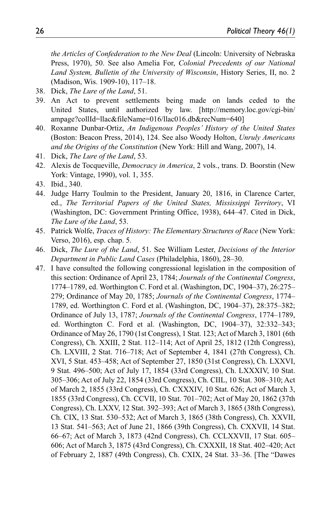*the Articles of Confederation to the New Deal* (Lincoln: University of Nebraska Press, 1970), 50. See also Amelia For, *Colonial Precedents of our National Land System, Bulletin of the University of Wisconsin*, History Series, II, no. 2 (Madison, Wis. 1909-10), 117–18.

- 38. Dick, *The Lure of the Land*, 51.
- 39. An Act to prevent settlements being made on lands ceded to the United States, until authorized by law. [[http://memory.loc.gov/cgi-bin/](http://memory.loc.gov/cgi-bin/ampage?collId=llac&fileName=016/llac016.db&recNum=640) [ampage?collId=llac&fileName=016/llac016.db&recNum=640\]](http://memory.loc.gov/cgi-bin/ampage?collId=llac&fileName=016/llac016.db&recNum=640)
- 40. Roxanne Dunbar-Ortiz, *An Indigenous Peoples' History of the United States* (Boston: Beacon Press, 2014), 124. See also Woody Holton, *Unruly Americans and the Origins of the Constitution* (New York: Hill and Wang, 2007), 14.
- 41. Dick, *The Lure of the Land*, 53.
- 42. Alexis de Tocqueville, *Democracy in America*, 2 vols., trans. D. Boorstin (New York: Vintage, 1990), vol. 1, 355.
- 43. Ibid., 340.
- 44. Judge Harry Toulmin to the President, January 20, 1816, in Clarence Carter, ed., *The Territorial Papers of the United States, Mississippi Territory*, VI (Washington, DC: Government Printing Office, 1938), 644–47. Cited in Dick, *The Lure of the Land*, 53.
- 45. Patrick Wolfe, *Traces of History: The Elementary Structures of Race* (New York: Verso, 2016), esp. chap. 5.
- 46. Dick, *The Lure of the Land*, 51. See William Lester, *Decisions of the Interior Department in Public Land Cases* (Philadelphia, 1860), 28–30.
- 47. I have consulted the following congressional legislation in the composition of this section: Ordinance of April 23, 1784; *Journals of the Continental Congress*, 1774–1789, ed. Worthington C. Ford et al. (Washington, DC, 1904–37), 26:275– 279; Ordinance of May 20, 1785; *Journals of the Continental Congress*, 1774– 1789, ed. Worthington C. Ford et al. (Washington, DC, 1904–37), 28:375–382; Ordinance of July 13, 1787; *Journals of the Continental Congress*, 1774–1789, ed. Worthington C. Ford et al. (Washington, DC, 1904–37), 32:332–343; Ordinance of May 26, 1790 (1st Congress), 1 Stat. 123; Act of March 3, 1801 (6th Congress), Ch. XXIII, 2 Stat. 112–114; Act of April 25, 1812 (12th Congress), Ch. LXVIII, 2 Stat. 716–718; Act of September 4, 1841 (27th Congress), Ch. XVI, 5 Stat. 453–458; Act of September 27, 1850 (31st Congress), Ch. LXXVI, 9 Stat. 496–500; Act of July 17, 1854 (33rd Congress), Ch. LXXXIV, 10 Stat. 305–306; Act of July 22, 1854 (33rd Congress), Ch. CIIL, 10 Stat. 308–310; Act of March 2, 1855 (33rd Congress), Ch. CXXXIV, 10 Stat. 626; Act of March 3, 1855 (33rd Congress), Ch. CCVII, 10 Stat. 701–702; Act of May 20, 1862 (37th Congress), Ch. LXXV, 12 Stat. 392–393; Act of March 3, 1865 (38th Congress), Ch. CIX, 13 Stat. 530–532; Act of March 3, 1865 (38th Congress), Ch. XXVII, 13 Stat. 541–563; Act of June 21, 1866 (39th Congress), Ch. CXXVII, 14 Stat. 66–67; Act of March 3, 1873 (42nd Congress), Ch. CCLXXVII, 17 Stat. 605– 606; Act of March 3, 1875 (43rd Congress), Ch. CXXXII, 18 Stat. 402–420; Act of February 2, 1887 (49th Congress), Ch. CXIX, 24 Stat. 33–36. [The "Dawes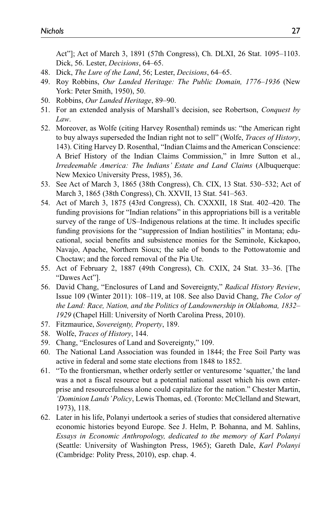Act"]; Act of March 3, 1891 (57th Congress), Ch. DLXI, 26 Stat. 1095–1103. Dick, 56. Lester, *Decisions*, 64–65.

- 48. Dick, *The Lure of the Land*, 56; Lester, *Decisions*, 64–65.
- 49. Roy Robbins, *Our Landed Heritage: The Public Domain, 1776–1936* (New York: Peter Smith, 1950), 50.
- 50. Robbins, *Our Landed Heritage*, 89–90.
- 51. For an extended analysis of Marshall's decision, see Robertson, *Conquest by Law*.
- 52. Moreover, as Wolfe (citing Harvey Rosenthal) reminds us: "the American right to buy always superseded the Indian right not to sell" (Wolfe, *Traces of History*, 143). Citing Harvey D. Rosenthal, "Indian Claims and the American Conscience: A Brief History of the Indian Claims Commission," in Imre Sutton et al., *Irredeemable America: The Indians' Estate and Land Claims* (Albuquerque: New Mexico University Press, 1985), 36.
- 53. See Act of March 3, 1865 (38th Congress), Ch. CIX, 13 Stat. 530–532; Act of March 3, 1865 (38th Congress), Ch. XXVII, 13 Stat. 541–563.
- 54. Act of March 3, 1875 (43rd Congress), Ch. CXXXII, 18 Stat. 402–420. The funding provisions for "Indian relations" in this appropriations bill is a veritable survey of the range of US–Indigenous relations at the time. It includes specific funding provisions for the "suppression of Indian hostilities" in Montana; educational, social benefits and subsistence monies for the Seminole, Kickapoo, Navajo, Apache, Northern Sioux; the sale of bonds to the Pottowatomie and Choctaw; and the forced removal of the Pia Ute.
- 55. Act of February 2, 1887 (49th Congress), Ch. CXIX, 24 Stat. 33–36. [The "Dawes Act"].
- 56. David Chang, "Enclosures of Land and Sovereignty," *Radical History Review*, Issue 109 (Winter 2011): 108–119, at 108. See also David Chang, *The Color of the Land: Race, Nation, and the Politics of Landownership in Oklahoma, 1832– 1929* (Chapel Hill: University of North Carolina Press, 2010).
- 57. Fitzmaurice, *Sovereignty, Property*, 189.
- 58. Wolfe, *Traces of History*, 144.
- 59. Chang, "Enclosures of Land and Sovereignty," 109.
- 60. The National Land Association was founded in 1844; the Free Soil Party was active in federal and some state elections from 1848 to 1852.
- 61. "To the frontiersman, whether orderly settler or venturesome 'squatter,' the land was a not a fiscal resource but a potential national asset which his own enterprise and resourcefulness alone could capitalize for the nation." Chester Martin, *'Dominion Lands' Policy*, Lewis Thomas, ed. (Toronto: McClelland and Stewart, 1973), 118.
- 62. Later in his life, Polanyi undertook a series of studies that considered alternative economic histories beyond Europe. See J. Helm, P. Bohanna, and M. Sahlins, *Essays in Economic Anthropology, dedicated to the memory of Karl Polanyi* (Seattle: University of Washington Press, 1965); Gareth Dale, *Karl Polanyi* (Cambridge: Polity Press, 2010), esp. chap. 4.